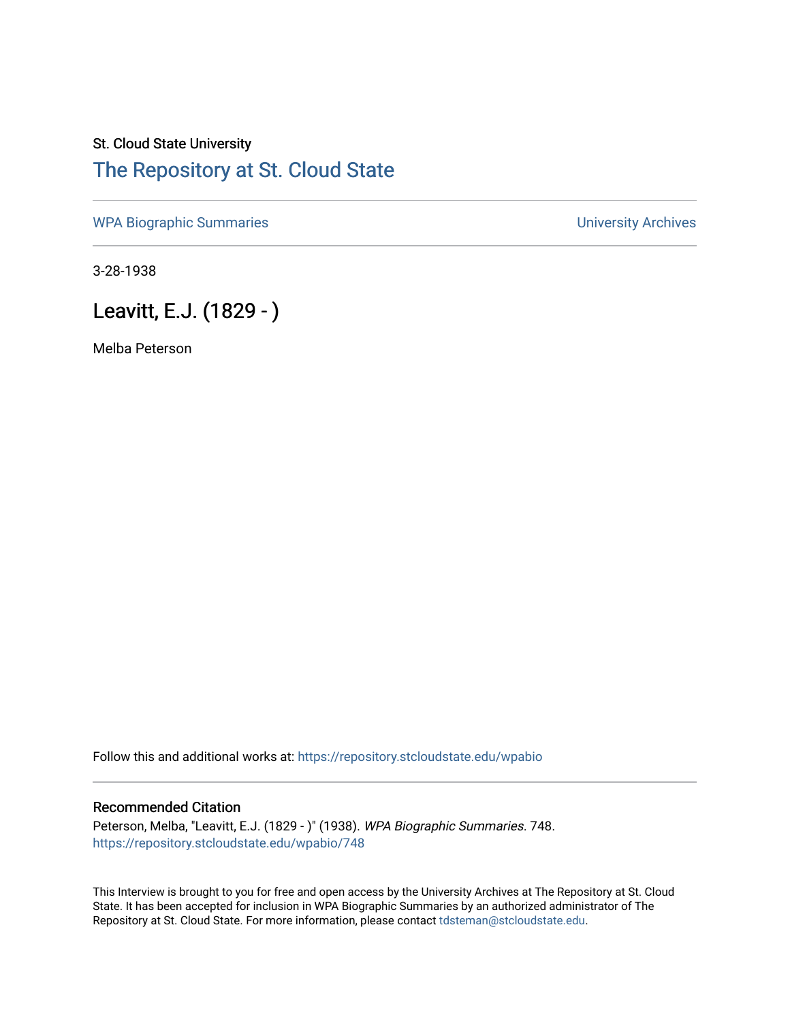## St. Cloud State University [The Repository at St. Cloud State](https://repository.stcloudstate.edu/)

[WPA Biographic Summaries](https://repository.stcloudstate.edu/wpabio) **WPA Biographic Summaries University Archives** 

3-28-1938

Leavitt, E.J. (1829 - )

Melba Peterson

Follow this and additional works at: [https://repository.stcloudstate.edu/wpabio](https://repository.stcloudstate.edu/wpabio?utm_source=repository.stcloudstate.edu%2Fwpabio%2F748&utm_medium=PDF&utm_campaign=PDFCoverPages) 

## Recommended Citation

Peterson, Melba, "Leavitt, E.J. (1829 - )" (1938). WPA Biographic Summaries. 748. [https://repository.stcloudstate.edu/wpabio/748](https://repository.stcloudstate.edu/wpabio/748?utm_source=repository.stcloudstate.edu%2Fwpabio%2F748&utm_medium=PDF&utm_campaign=PDFCoverPages) 

This Interview is brought to you for free and open access by the University Archives at The Repository at St. Cloud State. It has been accepted for inclusion in WPA Biographic Summaries by an authorized administrator of The Repository at St. Cloud State. For more information, please contact [tdsteman@stcloudstate.edu.](mailto:tdsteman@stcloudstate.edu)